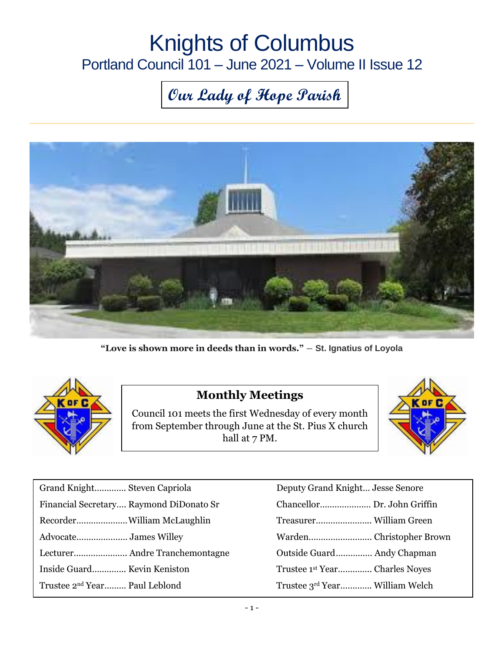## Knights of Columbus Portland Council 101 – June 2021 – Volume II Issue 12

# **Our Lady of Hope Parish**



**"Love is shown more in deeds than in words."** ― **St. Ignatius of Loyola**



#### **Monthly Meetings**

Council 101 meets the first Wednesday of every month from September through June at the St. Pius X church hall at 7 PM.



| Grand Knight Steven Capriola              | Deputy Grand Knight Jesse Senore          |
|-------------------------------------------|-------------------------------------------|
| Financial Secretary Raymond DiDonato Sr   | Chancellor Dr. John Griffin               |
|                                           | Treasurer William Green                   |
|                                           |                                           |
|                                           | Outside Guard Andy Chapman                |
| Inside Guard Kevin Keniston               | Trustee 1 <sup>st</sup> YearCharles Noyes |
| Trustee 2 <sup>nd</sup> Year Paul Leblond | Trustee 3rd Year William Welch            |
|                                           |                                           |

| Deputy Grand Knight Jesse Senore |  |
|----------------------------------|--|
| Chancellor Dr. John Griffin      |  |
|                                  |  |
|                                  |  |
| Outside Guard Andy Chapman       |  |
| Trustee 1st Year Charles Noyes   |  |
| Trustee 3rd Year William Welch   |  |
|                                  |  |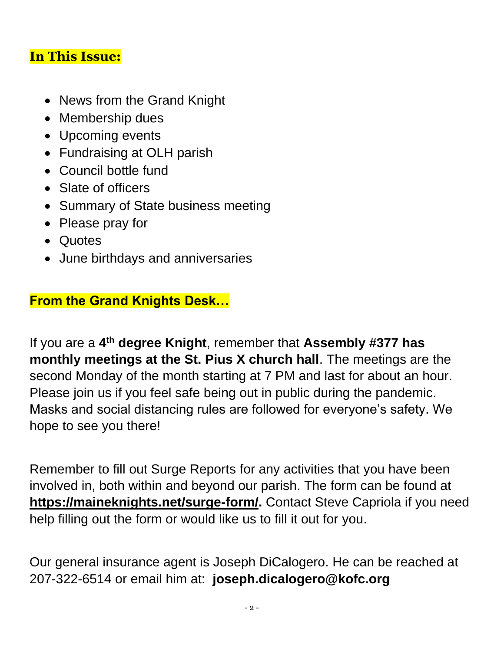#### **In This Issue:**

- News from the Grand Knight
- Membership dues
- Upcoming events
- Fundraising at OLH parish
- Council bottle fund
- Slate of officers
- Summary of State business meeting
- Please pray for
- Quotes
- June birthdays and anniversaries

#### **From the Grand Knights Desk…**

If you are a **4 th degree Knight**, remember that **Assembly #377 has monthly meetings at the St. Pius X church hall**. The meetings are the second Monday of the month starting at 7 PM and last for about an hour. Please join us if you feel safe being out in public during the pandemic. Masks and social distancing rules are followed for everyone's safety. We hope to see you there!

Remember to fill out Surge Reports for any activities that you have been involved in, both within and beyond our parish. The form can be found at **[https://maineknights.net/surge-form/.](https://maineknights.net/surge-form/)** Contact Steve Capriola if you need help filling out the form or would like us to fill it out for you.

Our general insurance agent is Joseph DiCalogero. He can be reached at 207-322-6514 or email him at: **joseph.dicalogero@kofc.org**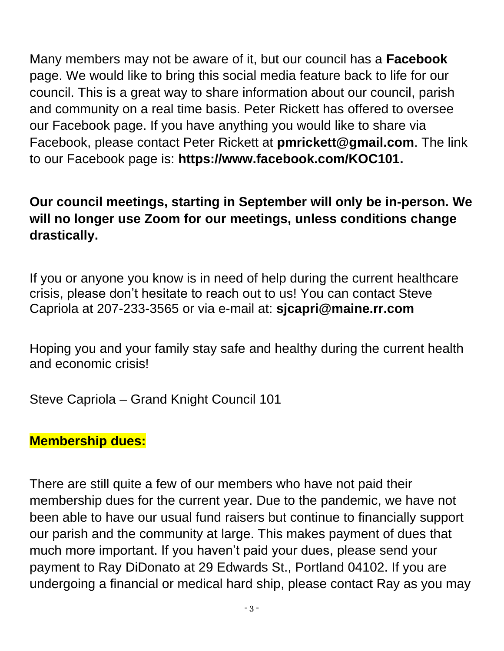Many members may not be aware of it, but our council has a **Facebook** page. We would like to bring this social media feature back to life for our council. This is a great way to share information about our council, parish and community on a real time basis. Peter Rickett has offered to oversee our Facebook page. If you have anything you would like to share via Facebook, please contact Peter Rickett at **[pmrickett@gmail.com](mailto:pmrickett@gmail.com)**. The link to our Facebook page is: **https://www.facebook.com/KOC101.**

## **Our council meetings, starting in September will only be in-person. We will no longer use Zoom for our meetings, unless conditions change drastically.**

If you or anyone you know is in need of help during the current healthcare crisis, please don't hesitate to reach out to us! You can contact Steve Capriola at 207-233-3565 or via e-mail at: **[sjcapri@maine.rr.com](mailto:sjcapri@maine.rr.com)**

Hoping you and your family stay safe and healthy during the current health and economic crisis!

Steve Capriola – Grand Knight Council 101

#### **Membership dues:**

There are still quite a few of our members who have not paid their membership dues for the current year. Due to the pandemic, we have not been able to have our usual fund raisers but continue to financially support our parish and the community at large. This makes payment of dues that much more important. If you haven't paid your dues, please send your payment to Ray DiDonato at 29 Edwards St., Portland 04102. If you are undergoing a financial or medical hard ship, please contact Ray as you may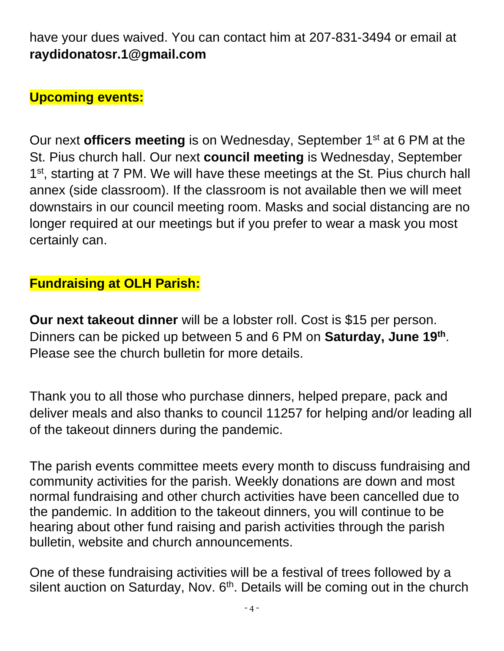have your dues waived. You can contact him at 207-831-3494 or email at **[raydidonatosr.1@gmail.com](mailto:raydidonatosr.1@gmail.com)**

## **Upcoming events:**

Our next **officers meeting** is on Wednesday, September 1<sup>st</sup> at 6 PM at the St. Pius church hall. Our next **council meeting** is Wednesday, September 1<sup>st</sup>, starting at 7 PM. We will have these meetings at the St. Pius church hall annex (side classroom). If the classroom is not available then we will meet downstairs in our council meeting room. Masks and social distancing are no longer required at our meetings but if you prefer to wear a mask you most certainly can.

## **Fundraising at OLH Parish:**

**Our next takeout dinner** will be a lobster roll. Cost is \$15 per person. Dinners can be picked up between 5 and 6 PM on **Saturday, June 19th** . Please see the church bulletin for more details.

Thank you to all those who purchase dinners, helped prepare, pack and deliver meals and also thanks to council 11257 for helping and/or leading all of the takeout dinners during the pandemic.

The parish events committee meets every month to discuss fundraising and community activities for the parish. Weekly donations are down and most normal fundraising and other church activities have been cancelled due to the pandemic. In addition to the takeout dinners, you will continue to be hearing about other fund raising and parish activities through the parish bulletin, website and church announcements.

One of these fundraising activities will be a festival of trees followed by a silent auction on Saturday, Nov.  $6<sup>th</sup>$ . Details will be coming out in the church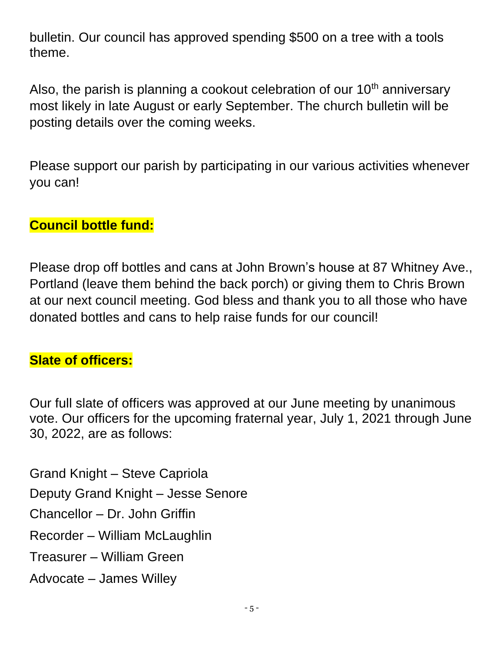bulletin. Our council has approved spending \$500 on a tree with a tools theme.

Also, the parish is planning a cookout celebration of our  $10<sup>th</sup>$  anniversary most likely in late August or early September. The church bulletin will be posting details over the coming weeks.

Please support our parish by participating in our various activities whenever you can!

## **Council bottle fund:**

Please drop off bottles and cans at John Brown's house at 87 Whitney Ave., Portland (leave them behind the back porch) or giving them to Chris Brown at our next council meeting. God bless and thank you to all those who have donated bottles and cans to help raise funds for our council!

### **Slate of officers:**

Our full slate of officers was approved at our June meeting by unanimous vote. Our officers for the upcoming fraternal year, July 1, 2021 through June 30, 2022, are as follows:

Grand Knight – Steve Capriola

Deputy Grand Knight – Jesse Senore

Chancellor – Dr. John Griffin

Recorder – William McLaughlin

Treasurer – William Green

Advocate – James Willey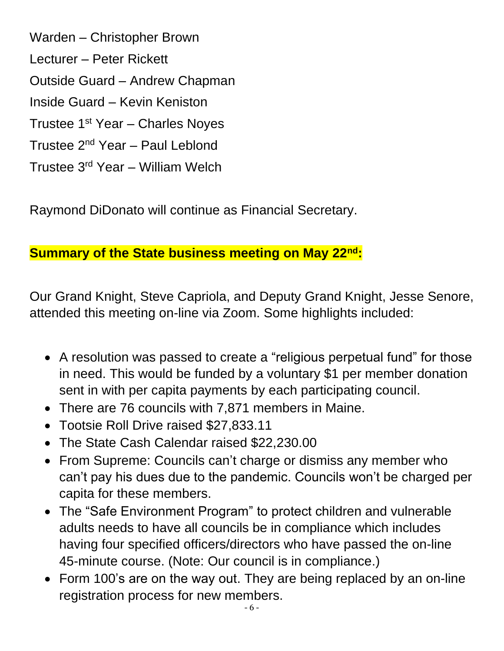Warden – Christopher Brown Lecturer – Peter Rickett Outside Guard – Andrew Chapman Inside Guard – Kevin Keniston Trustee 1<sup>st</sup> Year – Charles Noyes Trustee 2nd Year – Paul Leblond Trustee 3rd Year – William Welch

Raymond DiDonato will continue as Financial Secretary.

## **Summary of the State business meeting on May 22nd:**

Our Grand Knight, Steve Capriola, and Deputy Grand Knight, Jesse Senore, attended this meeting on-line via Zoom. Some highlights included:

- A resolution was passed to create a "religious perpetual fund" for those in need. This would be funded by a voluntary \$1 per member donation sent in with per capita payments by each participating council.
- There are 76 councils with 7,871 members in Maine.
- Tootsie Roll Drive raised \$27,833.11
- The State Cash Calendar raised \$22,230.00
- From Supreme: Councils can't charge or dismiss any member who can't pay his dues due to the pandemic. Councils won't be charged per capita for these members.
- The "Safe Environment Program" to protect children and vulnerable adults needs to have all councils be in compliance which includes having four specified officers/directors who have passed the on-line 45-minute course. (Note: Our council is in compliance.)
- Form 100's are on the way out. They are being replaced by an on-line registration process for new members.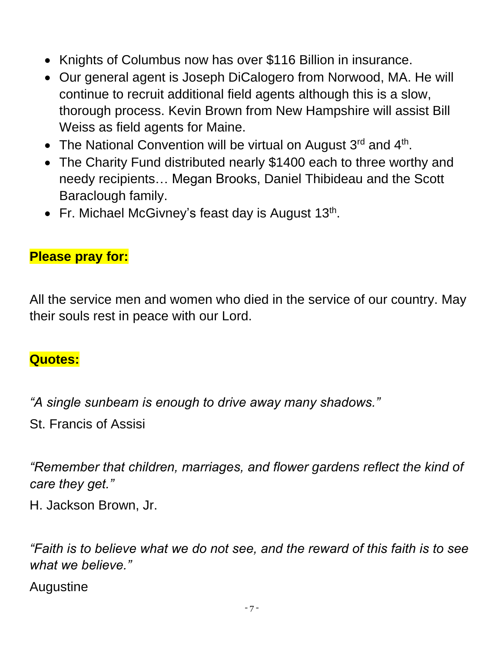- Knights of Columbus now has over \$116 Billion in insurance.
- Our general agent is Joseph DiCalogero from Norwood, MA. He will continue to recruit additional field agents although this is a slow, thorough process. Kevin Brown from New Hampshire will assist Bill Weiss as field agents for Maine.
- The National Convention will be virtual on August  $3<sup>rd</sup>$  and  $4<sup>th</sup>$ .
- The Charity Fund distributed nearly \$1400 each to three worthy and needy recipients… Megan Brooks, Daniel Thibideau and the Scott Baraclough family.
- Fr. Michael McGivney's feast day is August  $13<sup>th</sup>$ .

#### **Please pray for:**

All the service men and women who died in the service of our country. May their souls rest in peace with our Lord.

#### **Quotes:**

*"A single sunbeam is enough to drive away many shadows."*

St. Francis of Assisi

*"Remember that children, marriages, and flower gardens reflect the kind of care they get."*

H. Jackson Brown, Jr.

*"Faith is to believe what we do not see, and the reward of this faith is to see what we believe."*

Augustine